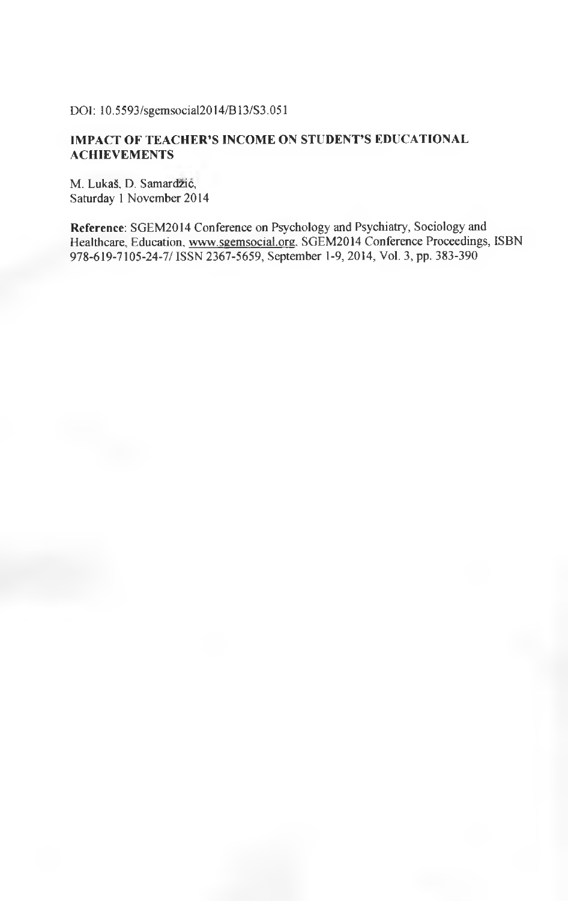DOI: 10.5 593/sgemsocial2014/B 13/S3.051

## **IMPACT OF TEACHER'S INCOME ON STUDENT'S EDUCATIONAL ACHIEVEMENTS**

M. Lukaš, D. Samardzić, Saturday 1 November 2014

**Reference:** SGEM2014 Conference on Psychology and Psychiatry, Sociology and Healthcare, Education, www.sgemsocial.org. SGEM2014 Conference Proceedings, ISBN 978-619-7105-24-7/ ISSN 2367-5659, September 1-9, 2014, Vol. 3, pp. 383-390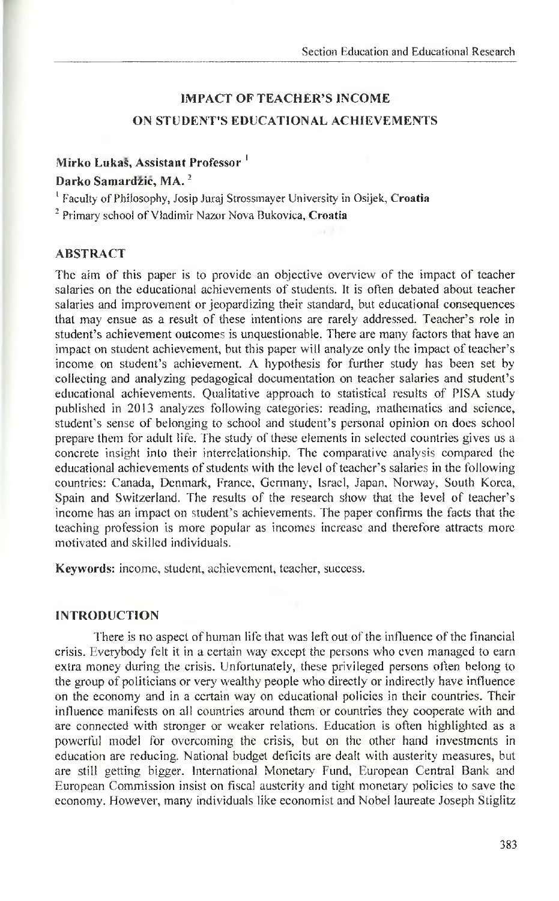# **IMPACT OF TEACHER'S INCOME ON STUDENT'S EDUCATIONAL ACHIEVEMENTS**

## **Mirko Lukas, Assistant Professor 1**

## **Darko Samardzic, MA.2**

' Faculty of Philosophy, Josip Juraj Strossmayer University in Osijek, **Croatia**

2 Primary school of Vladimir Nazor Nova Bukovica, **Croatia**

## **ABSTRACT**

The aim of this paper is to provide an objective overview of the impact of teacher salaries on the educational achievements of students. It is often debated about teacher salaries and improvement or jeopardizing their standard, but educational consequences that may ensue as a result of these intentions are rarely addressed. Teacher's role in student's achievement outcomes is unquestionable. There are many factors that have an impact on student achievement, but this paper will analyze only the impact of teacher's income on student's achievement. A hypothesis for further study has been set by collecting and analyzing pedagogical documentation on teacher salaries and student's educational achievements. Qualitative approach to statistical results of PISA study published in 2013 analyzes following categories: reading, mathematics and science, student's sense of belonging to school and student's personal opinion on does school prepare them for adult life. The study of these elements in selected countries gives us a concrete insight into their interrelationship. The comparative analysis compared the educational achievements of students with the level of teacher's salaries in the following countries: Canada, Denmark, France, Germany, Israel, Japan, Norway, South Korea, Spain and Switzerland. The results of the research show that the level of teacher's income has an impact on student's achievements. The paper confirms the facts that the teaching profession is more popular as incomes increase and therefore attracts more motivated and skilled individuals.

**Keywords:** income, student, achievement, teacher, success.

## **INTRODUCTION**

There is no aspect of human life that was left out of the influence of the financial crisis. Everybody felt it in a certain way except the persons who even managed to earn extra money during the crisis. Unfortunately, these privileged persons often belong to the group of politicians or very wealthy people who directly or indirectly have influence on the economy and in a certain way on educational policies in their countries. Their influence manifests on all countries around them or countries they cooperate with and are connected with stronger or weaker relations. Education is often highlighted as a powerful model for overcoming the crisis, but on the other hand investments in education are reducing. National budget deficits are dealt with austerity measures, but are still getting bigger. International Monetary Fund, European Central Bank and European Commission insist on fiscal austerity and tight monetary policies to save the economy. However, many individuals like economist and Nobel laureate Joseph Stiglitz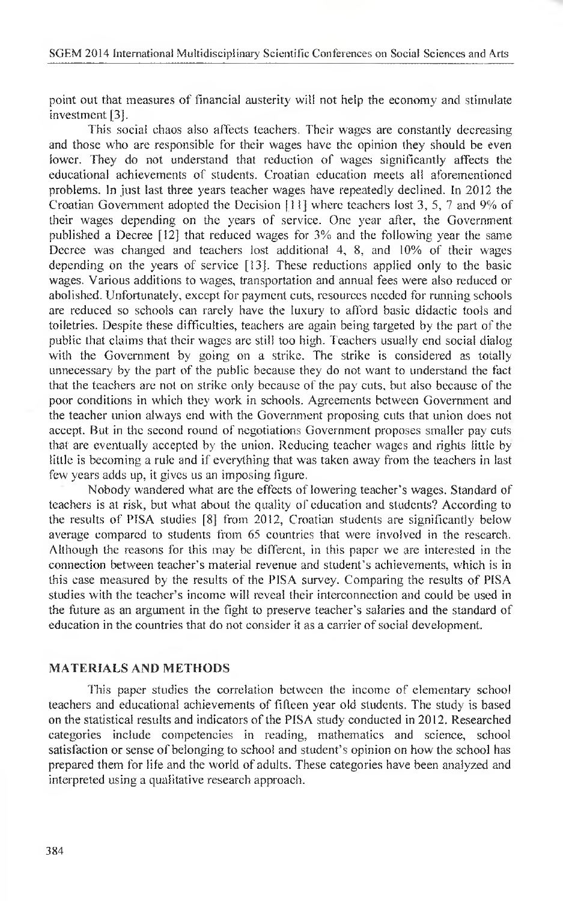point out that measures of financial austerity will not help the economy and stimulate investment [3],

This social chaos also affects teachers. Their wages are constantly decreasing and those who are responsible for their wages have the opinion they should be even lower. They do not understand that reduction of wages significantly affects the educational achievements of students. Croatian education meets all aforementioned problems. In just last three years teacher wages have repeatedly declined. In 2012 the Croatian Government adopted the Decision [11] where teachers lost 3, 5, 7 and 9% of their wages depending on the years of service. One year after, the Government published a Decree [12] that reduced wages for 3% and the following year the same Decree was changed and teachers lost additional 4, 8, and 10% of their wages depending on the years of service [13]. These reductions applied only to the basic wages. Various additions to wages, transportation and annual fees were also reduced or abolished. Unfortunately, except for payment cuts, resources needed for running schools are reduced so schools can rarely have the luxury to afford basic didactic tools and toiletries. Despite these difficulties, teachers are again being targeted by the part of the public that claims that their wages are still too high. Teachers usually end social dialog with the Government by going on a strike. The strike is considered as totally unnecessary by the part of the public because they do not want to understand the fact that the teachers are not on strike only because of the pay cuts, but also because of the poor conditions in which they work in schools. Agreements between Government and the teacher union always end with the Government proposing cuts that union does not accept. But in the second round of negotiations Government proposes smaller pay cuts that are eventually accepted by the union. Reducing teacher wages and rights little by little is becoming a rule and if everything that was taken away from the teachers in last few years adds up, it gives us an imposing figure.

Nobody wandered what are the effects of lowering teacher's wages. Standard of teachers is at risk, but what about the quality of education and students? According to the results of PISA studies [8] from 2012, Croatian students are significantly below average compared to students from 65 countries that were involved in the research. Allhough the reasons for this may be different, in this paper we are interested in the connection between teacher's material revenue and student's achievements, which is in this case measured by the results of the PISA survey. Comparing the results of PISA studies with the teacher's income will reveal their interconnection and could be used in the future as an argument in the fight to preserve teacher's salaries and the standard of education in the countries that do not consider it as a carrier of social development.

## **MATERIALS AND METHODS**

This paper studies the correlation between the income of elementary school teachers and educational achievements of fifteen year old students. The study is based on the statistical results and indicators of the PISA study conducted in 2012. Researched categories include competencies in reading, mathematics and science, school satisfaction or sense of belonging to school and student's opinion on how the school has prepared them for file and the world of adults. These categories have been analyzed and interpreted using a qualitative research approach.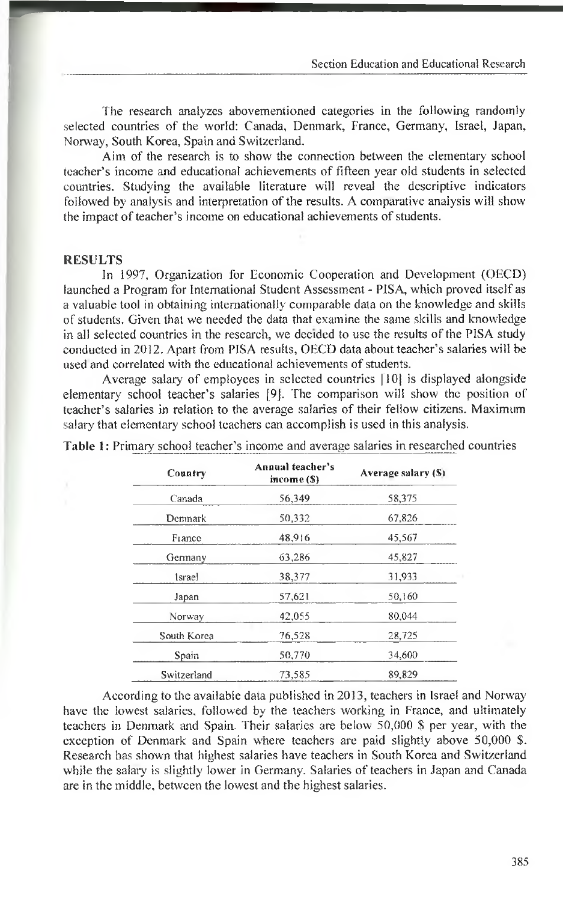The research analyzes abovementioned categories in the following randomly selected countries of the world: Canada, Denmark, France, Germany, Israel, Japan, Norway, South Korea, Spain and Switzerland.

Aim of the research is to show the connection between the elementary school teacher's income and educational achievements of fifteen year old students in selected countries. Studying the available literature will reveal the descriptive indicators followed by analysis and interpretation of the results. A comparative analysis will show the impact of teacher's income on educational achievements of students.

#### **RESULTS**

In 1997, Organization for Economic Cooperation and Development (OECD) launched a Program for International Student Assessment - PISA, which proved itself as a valuable tool in obtaining internationally comparable data on the knowledge and skills of students. Given that we needed the data that examine the same skills and knowledge in ail selected countries in the research, we decided to use the results of the PISA study conducted in 2012. Apart from PISA results, OECD data about teacher's salaries will be used and correlated with the educational achievements of students.

Average salary of employees in selected countries [10) is displayed alongside elementary school teacher's salaries [9J. The comparison will show the position of teacher's salaries in relation to the average salaries of their fellow citizens. Maximum salary that elementary school teachers can accomplish is used in this analysis.

| Country     | Annual teacher's<br>income (\$) | Average salary (\$) |  |  |
|-------------|---------------------------------|---------------------|--|--|
| Canada      | 56,349                          | 58,375              |  |  |
| Denmark     | 50,332                          | 67,826              |  |  |
| France      | 48,916                          | 45,567              |  |  |
| Germany     | 63,286                          | 45,827              |  |  |
| 1srael      | 38,377                          | 31,933              |  |  |
| Japan       | 57.621                          | 50,160              |  |  |
| Norway      | 42,055                          | 80.044              |  |  |
| South Korea | 76.528                          | 28,725              |  |  |
| Spain       | 50,770                          | 34,600              |  |  |
| Switzerland | 73,585                          | 89.829              |  |  |

**Table 1:** Primary school teacher's income and average salaries in researched countries

According to the available data published in 2013, teachers in Israel and Norway have the lowest salaries, followed by the teachers working in France, and ultimately teachers in Denmark and Spain. Their salaries are below 50,000 \$ per year, with the exception of Denmark and Spain where teachers are paid slightly above 50,000 \$. Research has shown that highest salaries have teachers in South Korea and Switzerland while the salary is slightly lower in Germany. Salaries of teachers in Japan and Canada are in the middle, between the lowest and the highest salaries.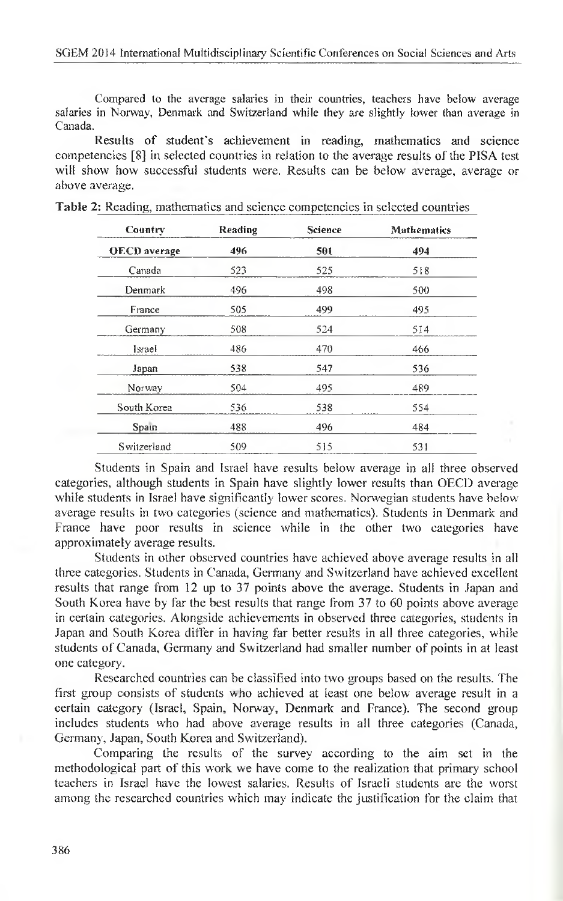Compared to the average salaries in their countries, teachers have below average salaries in Norway, Denmark and Switzerland while they are slightly lower than average in Canada.

Results of student's achievement in reading, mathematics and science competencies [8] in selected countries in relation to the average results of the PISA test will show how successful students were. Results can be below average, average or above average.

| Country             | Reading | Science | <b>Mathematics</b> |  |
|---------------------|---------|---------|--------------------|--|
| <b>OECD</b> average | 496     | 501     | 494                |  |
| Canada              | 523     | 525     | 518                |  |
| Denmark             | 496     | 498     | 500                |  |
| France              | 505     | 499     | 495                |  |
| Germany             | 508     | 524     | 514                |  |
| Israel              | 486     | 470     | 466                |  |
| Japan               | 538     | 547     | 536                |  |
| Norway              | 504     | 495     | 489                |  |
| South Korea         | 536     | 538     | 554                |  |
| Spain               | 488     | 496     | 484                |  |
| Switzerland         | 509     | 515     | 531                |  |

| <b>Table 2:</b> Reading, mathematics and science competencies in selected countries |  |  |  |
|-------------------------------------------------------------------------------------|--|--|--|
|                                                                                     |  |  |  |

Students in Spain and Israel have results below average in all three observed categories, although students in Spain have slightly lower results than OECD average while students in Israel have significantly lower scores. Norwegian students have below average results in two categories (science and mathematics). Students in Denmark and France have poor results in science while in the other two categories have approximately average results.

Students in other observed countries have achieved above average results in all three categories. Students in Canada, Germany and Switzerland have achieved excellent results that range from 12 up to 37 points above the average. Students in Japan and South Korea have by far the best results that range from 37 to 60 points above average in certain categories. Alongside achievements in observed three categories, students in Japan and South Korea differ in having far better results in all three categories, while students of Canada, Germany and Switzerland had smaller number of points in at least one category.

Researched countries can be classified into two groups based on the results. The first group consists of students who achieved at least one below average result in a certain category (Israel, Spain, Norway, Denmark and France). The second group includes students who had above average results in all three categories (Canada, Germany, Japan, South Korea and Switzerland).

Comparing the results of the survey according to the aim set in the methodological part of this work we have come to the realization that primary school teachers in Israel have the lowest salaries. Results of Israeli students are the worst among the researched countries which may indicate the justification for the claim that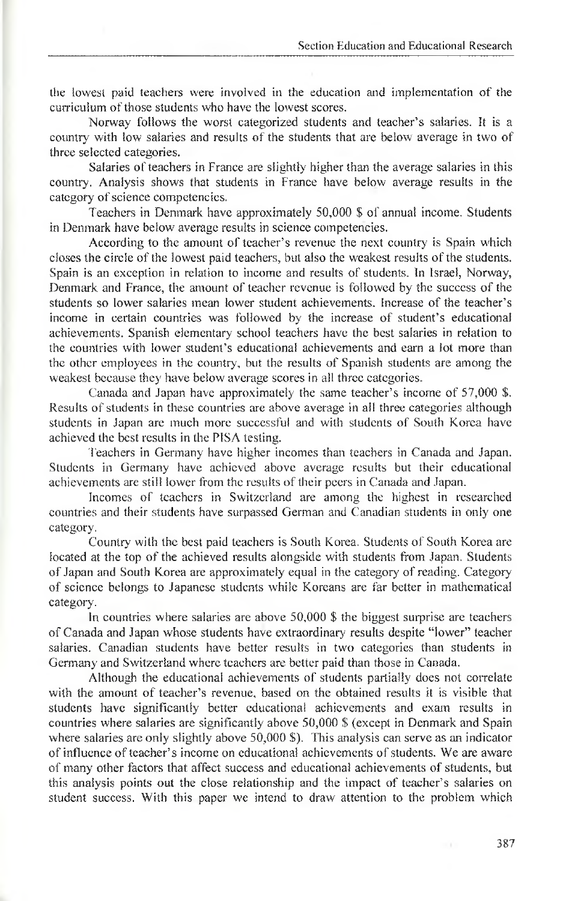the lowest paid teachers were involved in the education and implementation of the curriculum of those students who have the lowest scores.

Norway follows the worst categorized students and teacher's salaries. It is a country with low salaries and results of the students that are below average in two of three selected categories.

Salaries of teachers in France are slightly higher than the average salaries in this country. Analysis shows that students in France have below average results in the category of science competencies.

Teachers in Denmark have approximately 50,000 \$ of annual income. Students in Denmark have below average results in science competencies.

According to the amount of teacher's revenue the next country is Spain which closes the circle of the lowest paid teachers, but also the weakest results of the students. Spain is an exception in relation to income and results of students. In Israel, Norway, Denmark and France, the amount of teacher revenue is followed by the success of the students so lower salaries mean lower student achievements. Increase of the teacher's income in certain countries was followed by the increase of student's educational achievements. Spanish elementary school teachers have the best salaries in relation to the countries with lower student's educational achievements and earn a lot more than the other employees in the country, but the results of Spanish students are among the weakest because they have below average scores in all three categories.

Canada and Japan have approximately the same teacher's income of 57,000 \$. Results of students in these countries are above average in all three categories although students in Japan are much more successful and with students of South Korea have achieved the best results in the PISA testing.

Teachers in Germany have higher incomes than teachers in Canada and Japan. Students in Germany have achieved above average results but their educational achievements are still lower from the results of their peers in Canada and Japan.

Incomes of teachers in Switzerland are among the highest in researched countries and their students have surpassed German and Canadian students in only one category.

Country with the best paid teachers is South Korea. Students of South Korea are located at the top of the achieved results alongside with students from Japan. Students of Japan and South Korea are approximately equal in the category of reading. Category of science belongs to Japanese students while Koreans are far better in mathematical category.

In countries where salaries are above 50,000 \$ the biggest surprise are teachers of Canada and Japan whose students have extraordinary results despite "lower" teacher salaries. Canadian students have better results in two categories than students in Germany and Switzerland where teachers are better paid than those in Canada.

Although the educational achievements of students partially does not correlate with the amount of teacher's revenue, based on the obtained results it is visible that students have significantly better educational achievements and exam results in countries where salaries are significantly above 50,000 \$ (except in Denmark and Spain where salaries are only slightly above 50,000 \$). This analysis can serve as an indicator of influence of teacher's income on educational achievements of students. We are aware of many other factors that affect success and educational achievements of students, but this analysis points out the close relationship and the impact of teacher's salaries on student success. With this paper we intend to draw attention to the problem which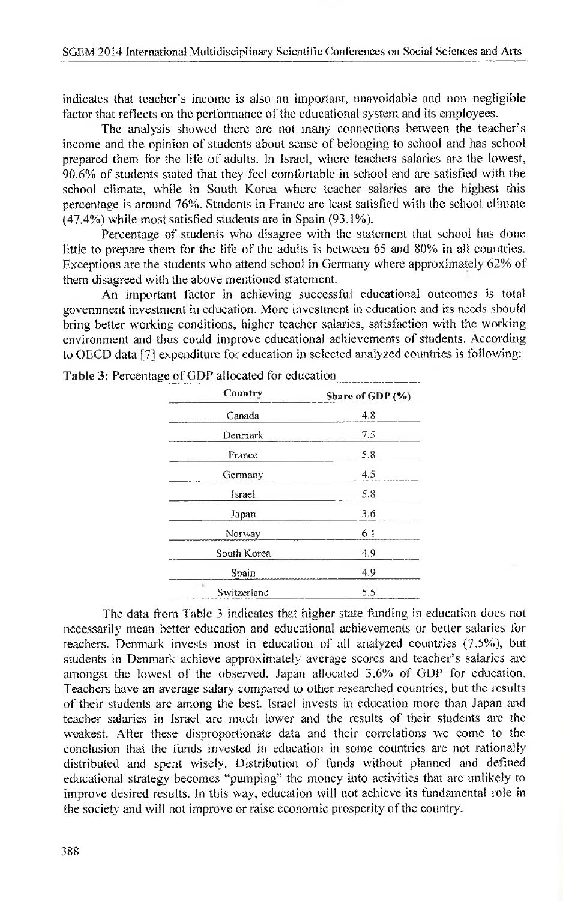indicates that teacher's income is also an important, unavoidable and non-negligible factor that reflects on the performance of the educational system and its employees.

The analysis showed there are not many connections between the teacher's income and the opinion of students about sense of belonging to school and has school prepared them for the life of adults. In Israel, where teachers salaries are the lowest, 90.6% of students stated that they fee! comfortable in school and are satisfied with the school climate, while in South Korea where teacher salaries are the highest this percentage is around 76%. Students in France are least satisfied with the school climate (47.4%) while most satisfied students are in Spain (93.1%).

Percentage of students who disagree with the statement that school has done little to prepare them for the life of the adults is between 65 and 80% in all countries. Exceptions are the students who attend school in Germany where approximately 62% of them disagreed with the above mentioned statement.

An important factor in achieving successful educational outcomes is total government investment in education. More investment in education and its needs should bring better working conditions, higher teacher salaries, satisfaction with the working environment and thus could improve educational achievements of students. According to OECD data [7] expenditure for education in selected analyzed countries is following:

| Country               | Share of GDP (%) |
|-----------------------|------------------|
| Canada                | 4.8              |
| Denmark               | 7.5              |
| France                | 5.8              |
| Germany               | 4.5              |
| Israel                | 5.8              |
| Japan                 | 3.6              |
| Norway                | 6.1              |
| South Korea           | 4.9              |
| Spain                 | 4.9              |
| $\sim$<br>Switzerland | 5.5              |

The data from Table 3 indicates that higher state funding in education does not necessarily mean better education and educational achievements or better salaries for teachers. Denmark invests most in education of all analyzed countries (7.5%), but students in Denmark achieve approximately average scores and teacher's salaries are amongst the lowest of the observed. Japan allocated 3.6% of GDP for education. Teachers have an average salary compared to other researched countries, but the results of their students are among the best. Israel invests in education more than Japan and teacher salaries in Israel are much lower and the results of their students are the weakest. After these disproportionate data and their correlations we come to the conclusion that the funds invested in education in some countries are not rationally distributed and spent wisely. Distribution of funds without planned and defined educational strategy becomes "pumping" the money into activities that are unlikely to improve desired results. In this way, education will not achieve its fundamental role in the society and will not improve or raise economic prosperity of the country.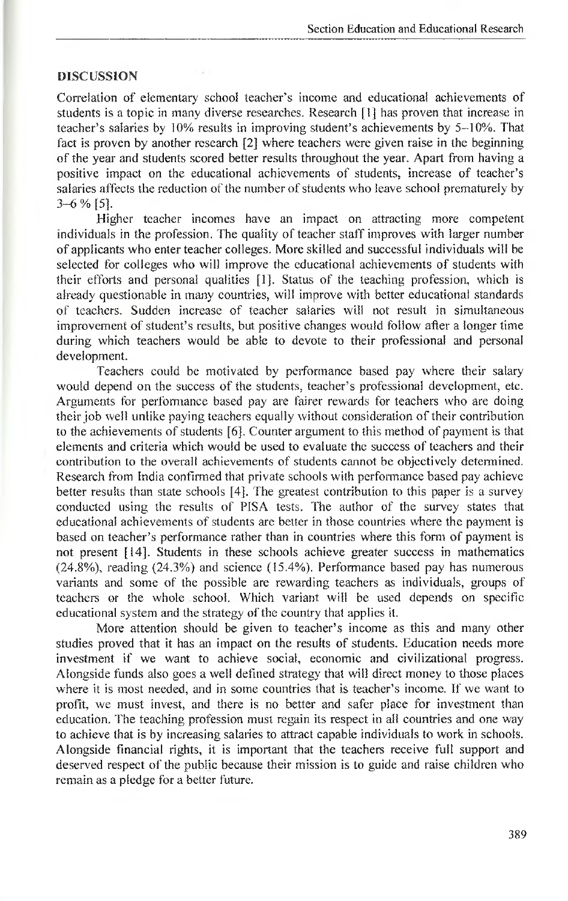#### **DISCUSSION**

Correlation of elementary school teacher's income and educational achievements of students is a topic in many diverse researches. Research [1] has proven that increase in teacher's salaries by 10% results in improving student's achievements by 5-10%. That fact is proven by another research [2] where teachers were given raise in the beginning of the year and students scored better results throughout the year. Apart from having a positive impact on the educational achievements of students, increase of teacher's salaries affects the reduction of the number of students who leave school prematurely by 3-6 % [5],

Higher teacher incomes have an impact on attracting more competent individuals in the profession. The quality of teacher staff improves with larger number of applicants who enter teacher colleges. More skilled and successful individuals will be selected for colleges who will improve the educational achievements of students with their efforts and personal qualities [1]. Status of the teaching profession, which is already questionable in many countries, will improve with better educational standards of teachers. Sudden increase of teacher salaries will not result in simultaneous improvement of student's results, but positive changes would follow after a longer time during which teachers would be able to devote to their professional and personal development.

Teachers could be motivated by performance based pay where their salary would depend on the success of the students, teacher's professional development, etc. Arguments for performance based pay are fairer rewards for teachers who are doing their job well unlike paying teachers equally without consideration of their contribution to the achievements of students [6], Counter argument to this method of payment is that elements and criteria which would be used to evaluate the success of teachers and their contribution to the overall achievements of students cannot be objectively determined. Research from India confirmed that private schools with performance based pay achieve better results than state schools [4], The greatest contribution to this paper is a survey conducted using the results of PISA tests. The author of the survey states that educational achievements of students are better in those countries where the payment is based on teacher's performance rather than in countries where this form of payment is not present [14]. Students in these schools achieve greater success in mathematics (24.8%), reading (24.3%) and science (15.4%). Performance based pay has numerous variants and some of the possible are rewarding teachers as individuals, groups of teachers or the whote school. Which variant will be used depends on specific educational system and the strategy of the country that applies it.

More attention should be given to teacher's income as this and many other studies proved that it has an impact on the results of students. Education needs more investment if we want to achieve social, economic and civilizational progress. Alongside funds also goes a well defined strategy that will direct money to those places where it is most needed, and in some countries that is teacher's income. If we want to profit, we must invest, and there is no better and safer place for investment than education. The teaching profession must regain its respect in all countries and one way to achieve that is by increasing salaries to attract capable individuals to work in schools. Alongside financial rights, it is important that the teachers receive full support and deserved respect of the public because their mission is to guide and raise children who remain as a pledge for a better future.